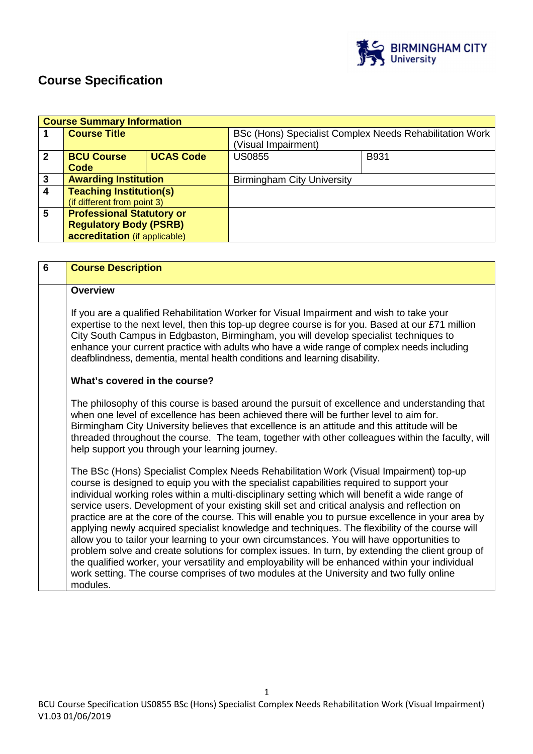

# **Course Specification**

|                  | <b>Course Summary Information</b> |                  |                                                                                |      |
|------------------|-----------------------------------|------------------|--------------------------------------------------------------------------------|------|
|                  | <b>Course Title</b>               |                  | BSc (Hons) Specialist Complex Needs Rehabilitation Work<br>(Visual Impairment) |      |
| $\mathbf{2}$     | <b>BCU Course</b><br>Code         | <b>UCAS Code</b> | <b>US0855</b>                                                                  | B931 |
| 3                | <b>Awarding Institution</b>       |                  | <b>Birmingham City University</b>                                              |      |
| $\boldsymbol{4}$ | <b>Teaching Institution(s)</b>    |                  |                                                                                |      |
|                  | (if different from point 3)       |                  |                                                                                |      |
| 5                | <b>Professional Statutory or</b>  |                  |                                                                                |      |
|                  | <b>Regulatory Body (PSRB)</b>     |                  |                                                                                |      |
|                  | accreditation (if applicable)     |                  |                                                                                |      |

| 6 | <b>Course Description</b>                                                                                                                                                                                                                                                                                                                                                                                                                                                                                                                                                                                                                                                                                                                                                                                                                                                                                                                                                                                      |
|---|----------------------------------------------------------------------------------------------------------------------------------------------------------------------------------------------------------------------------------------------------------------------------------------------------------------------------------------------------------------------------------------------------------------------------------------------------------------------------------------------------------------------------------------------------------------------------------------------------------------------------------------------------------------------------------------------------------------------------------------------------------------------------------------------------------------------------------------------------------------------------------------------------------------------------------------------------------------------------------------------------------------|
|   | <b>Overview</b>                                                                                                                                                                                                                                                                                                                                                                                                                                                                                                                                                                                                                                                                                                                                                                                                                                                                                                                                                                                                |
|   | If you are a qualified Rehabilitation Worker for Visual Impairment and wish to take your<br>expertise to the next level, then this top-up degree course is for you. Based at our £71 million<br>City South Campus in Edgbaston, Birmingham, you will develop specialist techniques to<br>enhance your current practice with adults who have a wide range of complex needs including<br>deafblindness, dementia, mental health conditions and learning disability.                                                                                                                                                                                                                                                                                                                                                                                                                                                                                                                                              |
|   | What's covered in the course?                                                                                                                                                                                                                                                                                                                                                                                                                                                                                                                                                                                                                                                                                                                                                                                                                                                                                                                                                                                  |
|   | The philosophy of this course is based around the pursuit of excellence and understanding that<br>when one level of excellence has been achieved there will be further level to aim for.<br>Birmingham City University believes that excellence is an attitude and this attitude will be<br>threaded throughout the course. The team, together with other colleagues within the faculty, will<br>help support you through your learning journey.                                                                                                                                                                                                                                                                                                                                                                                                                                                                                                                                                               |
|   | The BSc (Hons) Specialist Complex Needs Rehabilitation Work (Visual Impairment) top-up<br>course is designed to equip you with the specialist capabilities required to support your<br>individual working roles within a multi-disciplinary setting which will benefit a wide range of<br>service users. Development of your existing skill set and critical analysis and reflection on<br>practice are at the core of the course. This will enable you to pursue excellence in your area by<br>applying newly acquired specialist knowledge and techniques. The flexibility of the course will<br>allow you to tailor your learning to your own circumstances. You will have opportunities to<br>problem solve and create solutions for complex issues. In turn, by extending the client group of<br>the qualified worker, your versatility and employability will be enhanced within your individual<br>work setting. The course comprises of two modules at the University and two fully online<br>modules. |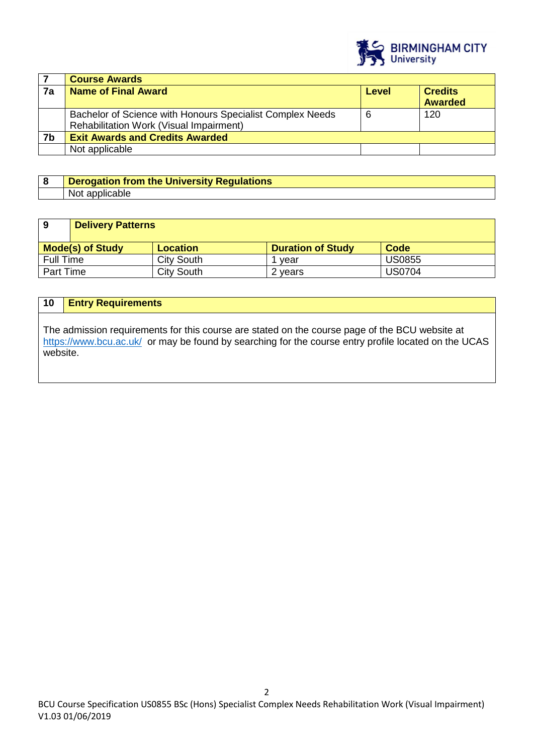

|    | <b>Course Awards</b>                                                                                        |       |                                  |
|----|-------------------------------------------------------------------------------------------------------------|-------|----------------------------------|
| 7a | <b>Name of Final Award</b>                                                                                  | Level | <b>Credits</b><br><b>Awarded</b> |
|    | Bachelor of Science with Honours Specialist Complex Needs<br><b>Rehabilitation Work (Visual Impairment)</b> | 6     | 120                              |
| 7b | <b>Exit Awards and Credits Awarded</b>                                                                      |       |                                  |
|    | Not applicable                                                                                              |       |                                  |

# **8 Derogation from the University Regulations**  Not applicable

| -9               | <b>Delivery Patterns</b> |                   |                          |               |
|------------------|--------------------------|-------------------|--------------------------|---------------|
|                  |                          |                   |                          |               |
|                  |                          |                   |                          |               |
|                  | <b>Mode(s) of Study</b>  | <b>Location</b>   | <b>Duration of Study</b> | Code          |
| Full Time        |                          | <b>City South</b> | 1 vear                   | <b>US0855</b> |
| <b>Part Time</b> |                          | <b>City South</b> | 2 years                  | <b>US0704</b> |

# **10 Entry Requirements**

The admission requirements for this course are stated on the course page of the BCU website at https://www.bcu.ac.uk/ or may be found by searching for the course entry profile located on the UCAS website.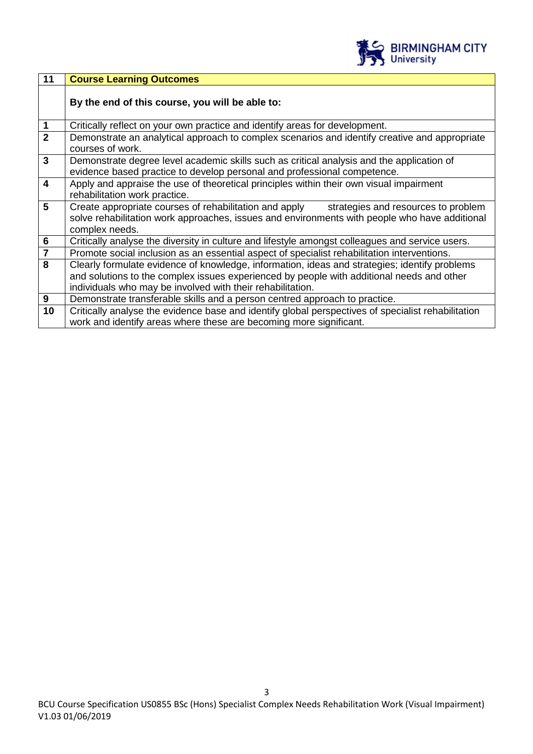

| 11                      | <b>Course Learning Outcomes</b>                                                                                                                                                                                                                          |
|-------------------------|----------------------------------------------------------------------------------------------------------------------------------------------------------------------------------------------------------------------------------------------------------|
|                         | By the end of this course, you will be able to:                                                                                                                                                                                                          |
| $\mathbf{1}$            | Critically reflect on your own practice and identify areas for development.                                                                                                                                                                              |
| $\overline{2}$          | Demonstrate an analytical approach to complex scenarios and identify creative and appropriate<br>courses of work.                                                                                                                                        |
| $\mathbf{3}$            | Demonstrate degree level academic skills such as critical analysis and the application of<br>evidence based practice to develop personal and professional competence.                                                                                    |
| $\overline{\mathbf{4}}$ | Apply and appraise the use of theoretical principles within their own visual impairment<br>rehabilitation work practice.                                                                                                                                 |
| $5\phantom{.0}$         | Create appropriate courses of rehabilitation and apply strategies and resources to problem<br>solve rehabilitation work approaches, issues and environments with people who have additional<br>complex needs.                                            |
| 6                       | Critically analyse the diversity in culture and lifestyle amongst colleagues and service users.                                                                                                                                                          |
| $\overline{\mathbf{7}}$ | Promote social inclusion as an essential aspect of specialist rehabilitation interventions.                                                                                                                                                              |
| 8                       | Clearly formulate evidence of knowledge, information, ideas and strategies; identify problems<br>and solutions to the complex issues experienced by people with additional needs and other<br>individuals who may be involved with their rehabilitation. |
| 9                       | Demonstrate transferable skills and a person centred approach to practice.                                                                                                                                                                               |
| 10                      | Critically analyse the evidence base and identify global perspectives of specialist rehabilitation<br>work and identify areas where these are becoming more significant.                                                                                 |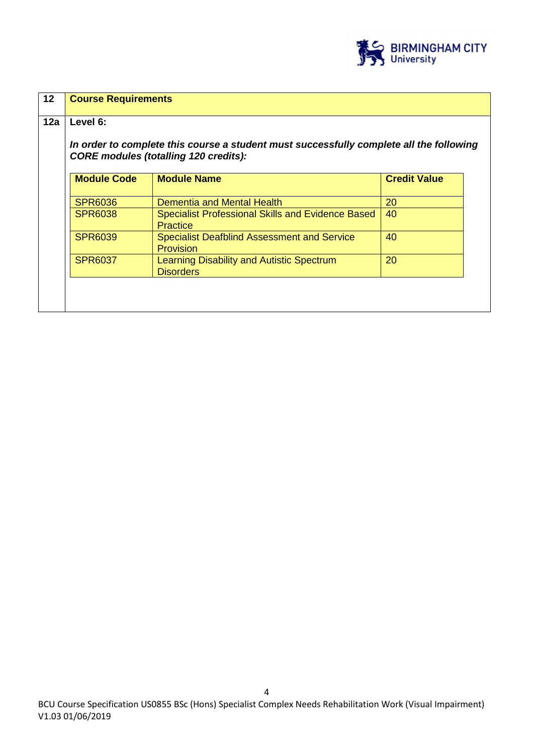

| $12 \overline{ }$ | <b>Course Requirements</b>                                                                                                              |                                                                             |                     |  |
|-------------------|-----------------------------------------------------------------------------------------------------------------------------------------|-----------------------------------------------------------------------------|---------------------|--|
| 12a               | Level 6:                                                                                                                                |                                                                             |                     |  |
|                   | In order to complete this course a student must successfully complete all the following<br><b>CORE modules (totalling 120 credits):</b> |                                                                             |                     |  |
|                   | <b>Module Code</b>                                                                                                                      | <b>Module Name</b>                                                          | <b>Credit Value</b> |  |
|                   | <b>SPR6036</b>                                                                                                                          | <b>Dementia and Mental Health</b>                                           | 20                  |  |
|                   | <b>SPR6038</b>                                                                                                                          | <b>Specialist Professional Skills and Evidence Based</b><br><b>Practice</b> | 40                  |  |
|                   | <b>SPR6039</b>                                                                                                                          | <b>Specialist Deafblind Assessment and Service</b><br><b>Provision</b>      | 40                  |  |
|                   | <b>SPR6037</b>                                                                                                                          | Learning Disability and Autistic Spectrum<br><b>Disorders</b>               | 20                  |  |
|                   |                                                                                                                                         |                                                                             |                     |  |
|                   |                                                                                                                                         |                                                                             |                     |  |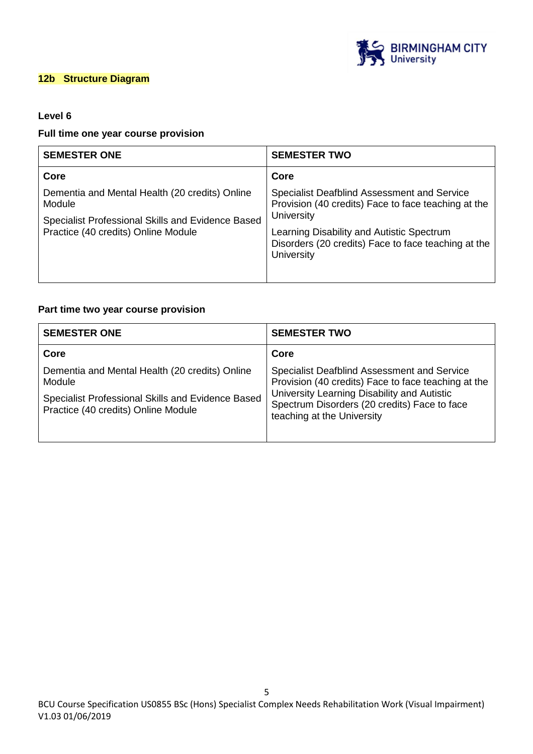

### **12b Structure Diagram**

# **Level 6**

### **Full time one year course provision**

| <b>SEMESTER ONE</b>                                                                      | <b>SEMESTER TWO</b>                                                                                                          |
|------------------------------------------------------------------------------------------|------------------------------------------------------------------------------------------------------------------------------|
| Core                                                                                     | Core                                                                                                                         |
| Dementia and Mental Health (20 credits) Online<br>Module                                 | Specialist Deafblind Assessment and Service<br>Provision (40 credits) Face to face teaching at the                           |
| Specialist Professional Skills and Evidence Based<br>Practice (40 credits) Online Module | University<br>Learning Disability and Autistic Spectrum<br>Disorders (20 credits) Face to face teaching at the<br>University |

# **Part time two year course provision**

| <b>SEMESTER ONE</b>                                                                                                                                  | <b>SEMESTER TWO</b>                                                                                                                                                                               |
|------------------------------------------------------------------------------------------------------------------------------------------------------|---------------------------------------------------------------------------------------------------------------------------------------------------------------------------------------------------|
| Core                                                                                                                                                 | Core                                                                                                                                                                                              |
| Dementia and Mental Health (20 credits) Online<br>Module<br>Specialist Professional Skills and Evidence Based<br>Practice (40 credits) Online Module | Specialist Deafblind Assessment and Service<br>Provision (40 credits) Face to face teaching at the<br>University Learning Disability and Autistic<br>Spectrum Disorders (20 credits) Face to face |
|                                                                                                                                                      | teaching at the University                                                                                                                                                                        |